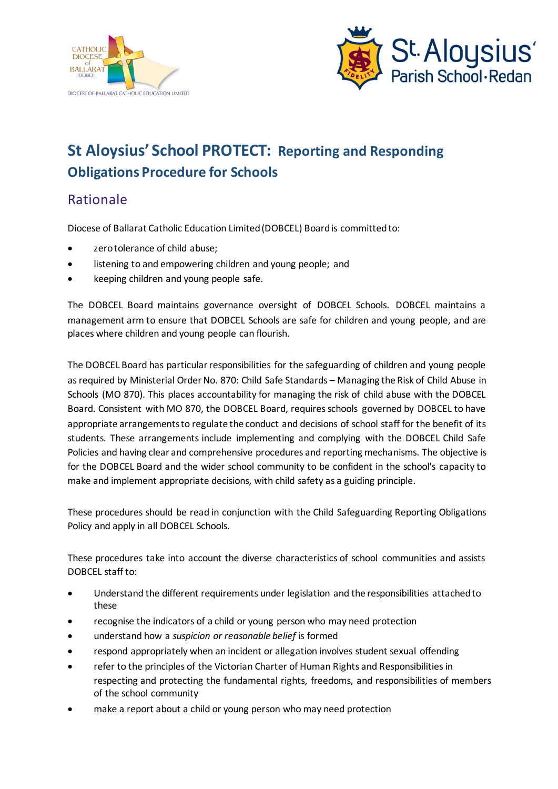



# **St Aloysius' School PROTECT: Reporting and Responding Obligations Procedure for Schools**

### Rationale

Diocese of Ballarat Catholic Education Limited (DOBCEL) Board is committed to:

- zero tolerance of child abuse;
- listening to and empowering children and young people; and
- keeping children and young people safe.

The DOBCEL Board maintains governance oversight of DOBCEL Schools. DOBCEL maintains a management arm to ensure that DOBCEL Schools are safe for children and young people, and are places where children and young people can flourish.

The DOBCEL Board has particular responsibilities for the safeguarding of children and young people as required by Ministerial Order No. 870: Child Safe Standards – Managing the Risk of Child Abuse in Schools (MO 870). This places accountability for managing the risk of child abuse with the DOBCEL Board. Consistent with MO 870, the DOBCEL Board, requires schools governed by DOBCEL to have appropriate arrangements to regulate the conduct and decisions of school staff for the benefit of its students. These arrangements include implementing and complying with the DOBCEL Child Safe Policies and having clear and comprehensive procedures and reporting mechanisms. The objective is for the DOBCEL Board and the wider school community to be confident in the school's capacity to make and implement appropriate decisions, with child safety as a guiding principle.

These procedures should be read in conjunction with the Child Safeguarding Reporting Obligations Policy and apply in all DOBCEL Schools.

These procedures take into account the diverse characteristics of school communities and assists DOBCEL staff to:

- Understand the different requirements under legislation and the responsibilities attached to these
- recognise the indicators of a child or young person who may need protection
- understand how a *suspicion or reasonable belief* is formed
- respond appropriately when an incident or allegation involves student sexual offending
- refer to the principles of the Victorian Charter of Human Rights and Responsibilities in respecting and protecting the fundamental rights, freedoms, and responsibilities of members of the school community
- make a report about a child or young person who may need protection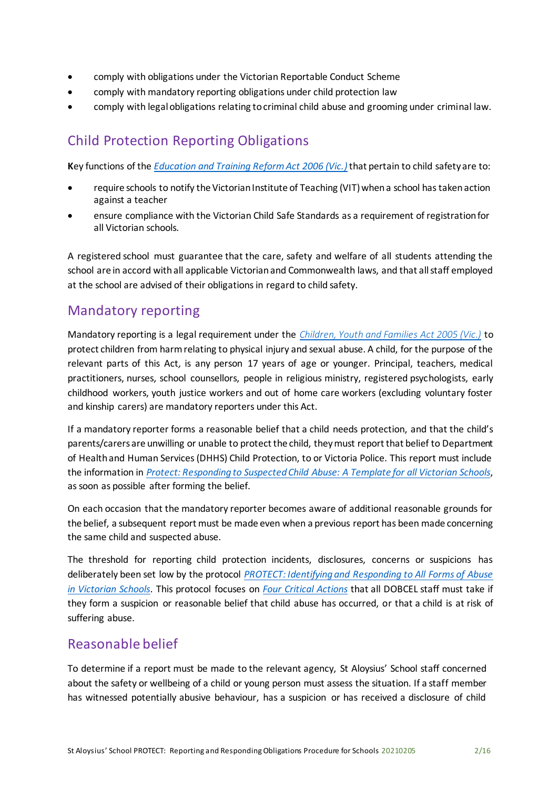- comply with obligations under the Victorian Reportable Conduct Scheme
- comply with mandatory reporting obligations under child protection law
- comply with legal obligations relating to criminal child abuse and grooming under criminal law.

## Child Protection Reporting Obligations

**K**ey functions of the *[Education and Training Reform Act 2006 \(Vic.\)](https://www.education.vic.gov.au/about/department/legislation/Pages/act2006.aspx)*that pertain to child safety are to:

- require schools to notify the Victorian Institute of Teaching (VIT) when a school has taken action against a teacher
- ensure compliance with the Victorian Child Safe Standards as a requirement of registration for all Victorian schools.

A registered school must guarantee that the care, safety and welfare of all students attending the school are in accord with all applicable Victorian and Commonwealth laws, and that all staff employed at the school are advised of their obligations in regard to child safety.

### Mandatory reporting

Mandatory reporting is a legal requirement under the *[Children, Youth and Families Act 2005 \(Vic.\)](http://www6.austlii.edu.au/cgi-bin/viewdb/au/legis/vic/consol_act/cyafa2005252/)* to protect children from harm relating to physical injury and sexual abuse. A child, for the purpose of the relevant parts of this Act*,* is any person 17 years of age or younger. Principal, teachers, medical practitioners, nurses, school counsellors, people in religious ministry, registered psychologists, early childhood workers, youth justice workers and out of home care workers (excluding voluntary foster and kinship carers) are mandatory reporters under this Act.

If a mandatory reporter forms a reasonable belief that a child needs protection, and that the child's parents/carers are unwilling or unable to protect the child, theymust report that belief to Department of Health and Human Services (DHHS) Child Protection, to or Victoria Police. This report must include the information in *Protect: [Responding](http://www.education.vic.gov.au/Documents/about/programs/health/protect/PROTECT_Responding_TemplateSchools.pdf) to Suspected Child Abuse: A Template for all Victorian Schools*, as soon as possible after forming the belief.

On each occasion that the mandatory reporter becomes aware of additional reasonable grounds for the belief, a subsequent report must be made even when a previous report has been made concerning the same child and suspected abuse.

The threshold for reporting child protection incidents, disclosures, concerns or suspicions has deliberately been set low by the protocol *[PROTECT: Identifying and Responding to All Forms of Abuse](http://www.education.vic.gov.au/Documents/about/programs/health/protect/ChildSafeStandard5_SchoolsGuide.pdf) [in Victorian Schools](http://www.education.vic.gov.au/Documents/about/programs/health/protect/ChildSafeStandard5_SchoolsGuide.pdf)*. This protocol focuses on *[Four Critical Actions](http://www.education.vic.gov.au/Documents/about/programs/health/protect/FourCriticalActions_ChildAbuse.pdf)* that all DOBCEL staff must take if they form a suspicion or reasonable belief that child abuse has occurred, or that a child is at risk of suffering abuse.

### Reasonable belief

To determine if a report must be made to the relevant agency, St Aloysius' School staff concerned about the safety or wellbeing of a child or young person must assess the situation. If a staff member has witnessed potentially abusive behaviour, has a suspicion or has received a disclosure of child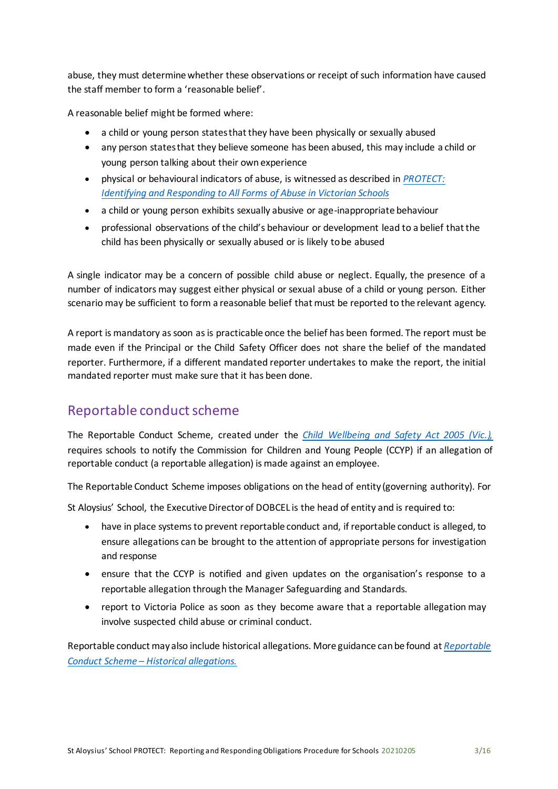abuse, they must determine whether these observations or receipt of such information have caused the staff member to form a 'reasonable belief'.

A reasonable belief might be formed where:

- a child or young person states that they have been physically or sexually abused
- any person states that they believe someone has been abused, this may include a child or young person talking about their own experience
- physical or behavioural indicators of abuse, is witnessed as described in *[PROTECT:](http://www.education.vic.gov.au/Documents/about/programs/health/protect/ChildSafeStandard5_SchoolsGuide.pdf)  [Identifying](http://www.education.vic.gov.au/Documents/about/programs/health/protect/ChildSafeStandard5_SchoolsGuide.pdf) [and Responding to All Forms of Abuse in Victorian](http://www.education.vic.gov.au/Documents/about/programs/health/protect/ChildSafeStandard5_SchoolsGuide.pdf) Schools*
- a child or young person exhibits sexually abusive or age-inappropriate behaviour
- professional observations of the child's behaviour or development lead to a belief that the child has been physically or sexually abused or is likely to be abused

A single indicator may be a concern of possible child abuse or neglect. Equally, the presence of a number of indicators may suggest either physical or sexual abuse of a child or young person. Either scenario may be sufficient to form a reasonable belief that must be reported to the relevant agency.

A report is mandatory as soon as is practicable once the belief has been formed. The report must be made even if the Principal or the Child Safety Officer does not share the belief of the mandated reporter. Furthermore, if a different mandated reporter undertakes to make the report, the initial mandated reporter must make sure that it has been done.

### Reportable conduct scheme

The Reportable Conduct Scheme, created under the *[Child Wellbeing and Safety Act 2005 \(Vic.\),](http://www8.austlii.edu.au/cgi-bin/viewdb/au/legis/vic/consol_act/cwasa2005218/)* requires schools to notify the Commission for Children and Young People (CCYP) if an allegation of reportable conduct (a reportable allegation) is made against an employee.

The Reportable Conduct Scheme imposes obligations on the head of entity (governing authority). For

St Aloysius' School, the Executive Director of DOBCEL is the head of entity and is required to:

- have in place systems to prevent reportable conduct and, if reportable conduct is alleged, to ensure allegations can be brought to the attention of appropriate persons for investigation and response
- ensure that the CCYP is notified and given updates on the organisation's response to a reportable allegation through the Manager Safeguarding and Standards.
- report to Victoria Police as soon as they become aware that a reportable allegation may involve suspected child abuse or criminal conduct.

Reportable conduct mayalso include historical allegations. More guidance canbe found at *[Reportable](https://ccyp.vic.gov.au/assets/resources/RCSInfoSheetUpdates/Historical-Allegations-110718.pdf) [Conduct Scheme](https://ccyp.vic.gov.au/assets/resources/RCSInfoSheetUpdates/Historical-Allegations-110718.pdf) – Historical allegations.*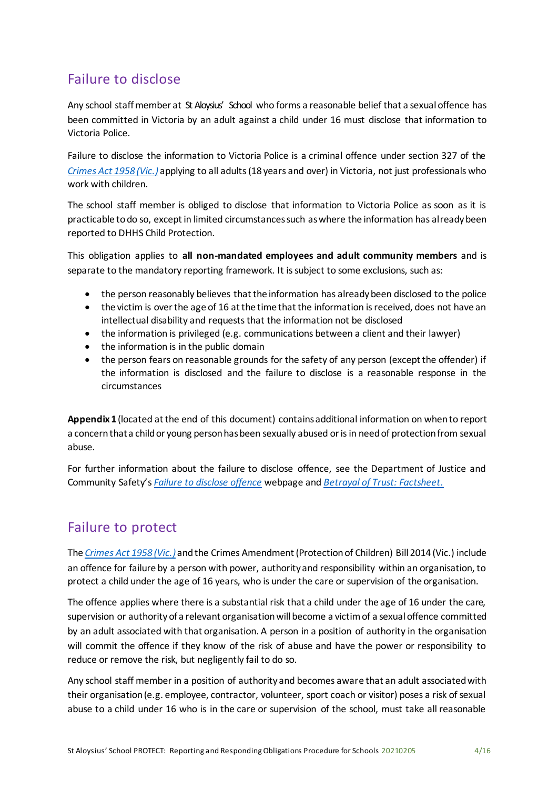## Failure to disclose

Any school staff member at St Aloysius' School who forms a reasonable belief that a sexual offence has been committed in Victoria by an adult against a child under 16 must disclose that information to Victoria Police.

Failure to disclose the information to Victoria Police is a criminal offence under section 327 of the *[Crimes Act 1958 \(Vic.\)](http://classic.austlii.edu.au/au/legis/vic/consol_act/ca195882/)* applying to all adults (18 years and over) in Victoria, not just professionals who work with children.

The school staff member is obliged to disclose that information to Victoria Police as soon as it is practicable to do so, except in limited circumstances such as where the information has already been reported to DHHS Child Protection.

This obligation applies to **all non-mandated employees and adult community members** and is separate to the mandatory reporting framework. It is subject to some exclusions, such as:

- the person reasonably believes that the information has already been disclosed to the police
- the victim is over the age of 16 at the time that the information is received, does not have an intellectual disability and requests that the information not be disclosed
- the information is privileged (e.g. communications between a client and their lawyer)
- the information is in the public domain
- the person fears on reasonable grounds for the safety of any person (except the offender) if the information is disclosed and the failure to disclose is a reasonable response in the circumstances

**Appendix1** (located at the end of this document) containsadditional information on whento report a concern that a child or young person has been sexually abused or is in need of protection from sexual abuse.

For further information about the failure to disclose offence, see the Department of Justice and Community Safety's *[Failure to disclose offence](https://www.justice.vic.gov.au/safer-communities/protecting-children-and-families/failure-to-disclose-offence)* webpage and *[Betrayal of Trust: Factsheet](https://www.justice.vic.gov.au/sites/default/files/embridge_cache/emshare/original/public/2018/07/f0/bbce5bd2b/failure_to_disclose_betrayal_of_trust_factsheet_2017.pdf).*

## Failure to protect

The *Crimes Act [1958 \(Vic.\)](http://classic.austlii.edu.au/au/legis/vic/consol_act/ca195882/)* andthe Crimes Amendment [\(Protectionof](http://classic.austlii.edu.au/au/legis/vic/num_act/caoca201436o2014417/) Children) Bill 2014 (Vic.) include an offence for failure by a person with power, authority and responsibility within an organisation, to protect a child under the age of 16 years, who is under the care or supervision of the organisation.

The offence applies where there is a substantial risk that a child under the age of 16 under the care, supervision or authority of a relevant organisation will become a victim of a sexual offence committed by an adult associated with that organisation. A person in a position of authority in the organisation will commit the offence if they know of the risk of abuse and have the power or responsibility to reduce or remove the risk, but negligently fail to do so.

Any school staff member in a position of authority and becomes aware that an adult associated with their organisation (e.g. employee, contractor, volunteer, sport coach or visitor) poses a risk of sexual abuse to a child under 16 who is in the care or supervision of the school, must take all reasonable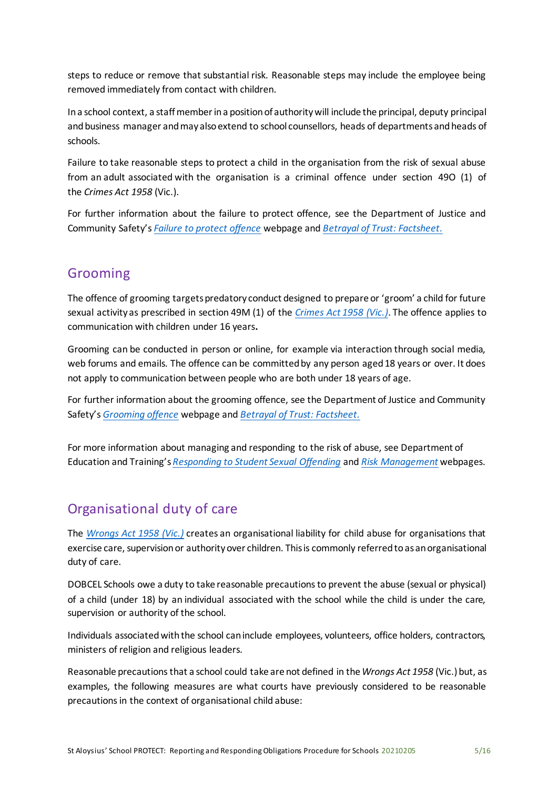steps to reduce or remove that substantial risk. Reasonable steps may include the employee being removed immediately from contact with children.

In a school context, a staff member in a position of authority will include the principal, deputy principal and business manager and may also extend to school counsellors, heads of departments and heads of schools.

Failure to take reasonable steps to protect a child in the organisation from the risk of sexual abuse from an adult associated with the organisation is a criminal offence under section 49O (1) of the *Crimes Act 1958* (Vic.).

For further information about the failure to protect offence, see the Department of Justice and Community Safety's *[Failure to protect offence](https://www.justice.vic.gov.au/safer-communities/protecting-children-and-families/failure-to-protect-a-new-criminal-offence-to)* webpage and *[Betrayal of Trust: Factsheet](https://www.justice.vic.gov.au/sites/default/files/embridge_cache/emshare/original/public/2018/07/a9/431cfe3d9/failure_to_protect_betrayal_of_trust_factsheet_2017.pdf).*

### Grooming

The offence of grooming targets predatory conduct designed to prepare or 'groom' a child for future sexual activity as prescribed in section 49M (1) of the *[Crimes Act 1958 \(Vic.\)](http://classic.austlii.edu.au/au/legis/vic/consol_act/ca195882/)*. The offence applies to communication with children under 16 years**.**

Grooming can be conducted in person or online, for example via interaction through social media, web forums and emails. The offence can be committed by any person aged 18 years or over. It does not apply to communication between people who are both under 18 years of age.

For further information about the grooming offence, see the Department of Justice and Community Safety's *[Grooming offence](https://www.justice.vic.gov.au/safer-communities/protecting-children-and-families/grooming-offence)* webpage and *[Betrayal of Trust: Factsheet.](https://www.justice.vic.gov.au/sites/default/files/embridge_cache/emshare/original/public/2018/07/ea/2bff28cdf/grooming_betrayal_of_trust_factsheet_2017.pdf)*

For more information about managing and responding to the risk of abuse, see Department of Education and Training's *[Responding to Student Sexual Offending](https://www.education.vic.gov.au/school/principals/spag/safety/Pages/sexualassault.aspx)* and *[Risk Management](http://www.education.vic.gov.au/school/principals/spag/governance/Pages/risk.aspx)* webpages.

## Organisational duty of care

The *[Wrongs Act 1958 \(Vic.\)](https://catholiceducat728.sharepoint.com/sites/SafeguardingPolicyProcedures/Shared%20Documents/September%20for%20SLD/Wrongs%20Act%201958%20(Vic.))* creates an organisational liability for child abuse for organisations that exercise care, supervision or authority over children. This is commonly referred to as an organisational duty of care.

DOBCEL Schools owe a duty to take reasonable precautions to prevent the abuse (sexual or physical) of a child (under 18) by an individual associated with the school while the child is under the care, supervision or authority of the school.

Individuals associated with the school can include employees, volunteers, office holders, contractors, ministers of religion and religious leaders.

Reasonable precautionsthat a school could take are not defined in the *Wrongs Act 1958* (Vic.)but, as examples, the following measures are what courts have previously considered to be reasonable precautions in the context of organisational child abuse: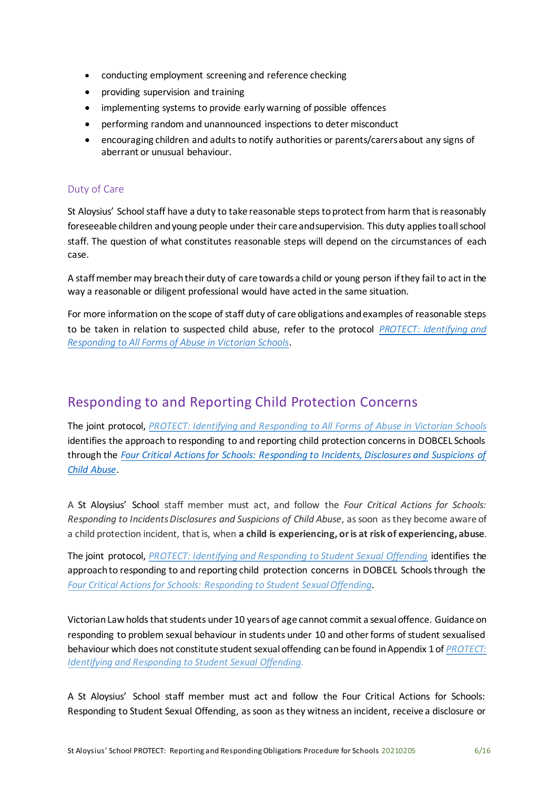- conducting employment screening and reference checking
- providing supervision and training
- implementing systems to provide early warning of possible offences
- performing random and unannounced inspections to deter misconduct
- encouraging children and adults to notify authorities or parents/carers about any signs of aberrant or unusual behaviour.

#### Duty of Care

St Aloysius' School staff have a duty to take reasonable steps to protect from harm that is reasonably foreseeable children and young people under their care and supervision. This duty applies toall school staff. The question of what constitutes reasonable steps will depend on the circumstances of each case.

A staffmembermay breachtheir duty of care towardsa child or young person ifthey fail to actin the way a reasonable or diligent professional would have acted in the same situation.

For more information on the scope of staff duty of care obligations and examples of reasonable steps to be taken in relation to suspected child abuse, refer to the protocol *[PROTECT: Identifying and](http://www.education.vic.gov.au/Documents/about/programs/health/protect/ChildSafeStandard5_SchoolsGuide.pdf) [Responding to All Forms of Abuse in Victorian Schools](http://www.education.vic.gov.au/Documents/about/programs/health/protect/ChildSafeStandard5_SchoolsGuide.pdf)*.

### Responding to and Reporting Child Protection Concerns

The joint protocol, *[PROTECT: Identifying and Responding to All Forms of Abuse in Victorian Schools](https://www.education.vic.gov.au/Documents/about/programs/health/protect/ChildSafeStandard5_SchoolsGuide.pdf)* identifies the approach to responding to and reporting child protection concerns in DOBCEL Schools through the *[Four Critical Actions for Schools: Responding to Incidents, Disclosures and Suspicions of](http://www.education.vic.gov.au/Documents/about/programs/health/protect/FourCriticalActions_ChildAbuse.pdf) [Child Abuse](http://www.education.vic.gov.au/Documents/about/programs/health/protect/FourCriticalActions_ChildAbuse.pdf)*.

A St Aloysius' School staff member must act, and follow the *Four Critical Actions for Schools: Responding to IncidentsDisclosures and Suspicions of Child Abuse*, assoon asthey become aware of a child protection incident, that is, when **a child is experiencing, or is at risk of experiencing, abuse**.

The joint protocol, *[PROTECT: Identifying and Responding to Student Sexual Offending](https://www.education.vic.gov.au/Documents/about/programs/health/protect/SSO_Policy.pdf)* identifies the approach to responding to and reporting child protection concerns in DOBCEL Schools through the Four Critical Actions for Schools: Responding to Student Sexual Offending.

Victorian Law holds that students under 10 years of age cannot commit a sexual offence. Guidance on responding to problem sexual behaviour in students under 10 and other forms of student sexualised behaviour which does not constitute student sexual offending can be found in Appendix 1 of *PROTECT*: *[Identifying and Responding to Student Sexual](https://www.education.vic.gov.au/Documents/about/programs/health/protect/SSO_Policy.pdf) Offending.*

A St Aloysius' School staff member must act and follow the Four Critical Actions for Schools: Responding to Student Sexual Offending, as soon as they witness an incident, receive a disclosure or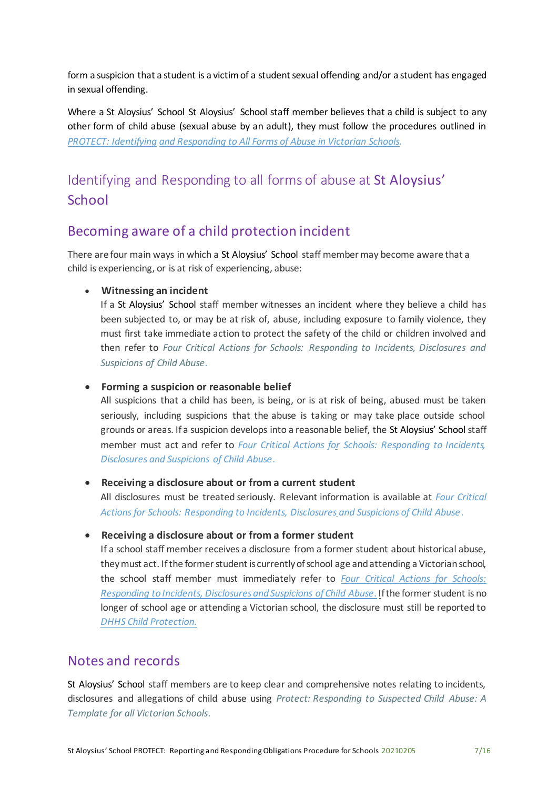form a suspicion that a student is a victim of a student sexual offending and/or a student has engaged in sexual offending.

Where a St Aloysius' School St Aloysius' School staff member believes that a child is subject to any other form of child abuse (sexual abuse by an adult), they must follow the procedures outlined in *[PROTECT: Identifying](https://www.education.vic.gov.au/Documents/about/programs/health/protect/ChildSafeStandard5_SchoolsGuide.pdf) [and Responding to All Forms of Abuse in Victorian](https://www.education.vic.gov.au/Documents/about/programs/health/protect/ChildSafeStandard5_SchoolsGuide.pdf) Schools.*

# Identifying and Responding to all forms of abuse at St Aloysius' **School**

### Becoming aware of a child protection incident

There are four main ways in which a St Aloysius' School staff member may become aware that a child is experiencing, or is at risk of experiencing, abuse:

#### **Witnessing an incident**

If a St Aloysius' School staff member witnesses an incident where they believe a child has been subjected to, or may be at risk of, abuse, including exposure to family violence, they must first take immediate action to protect the safety of the child or children involved and then refer to *[Four Critical Actions for Schools: Responding to Incidents, Disclosures and](http://www.education.vic.gov.au/Documents/about/programs/health/protect/FourCriticalActions_ChildAbuse.pdf) [Suspicions of Child Abuse](http://www.education.vic.gov.au/Documents/about/programs/health/protect/FourCriticalActions_ChildAbuse.pdf)*.

#### **Forming a suspicion or reasonable belief**

All suspicions that a child has been, is being, or is at risk of being, abused must be taken seriously, including suspicions that the abuse is taking or may take place outside school grounds or areas. If a suspicion develops into a reasonable belief, the St Aloysius' School staff member must act and refer to *[Four Critical Actions for Schools: Responding to Incidents,](http://www.education.vic.gov.au/Documents/about/programs/health/protect/FourCriticalActions_ChildAbuse.pdf) [Disclosures and Suspicions of Child Abuse](http://www.education.vic.gov.au/Documents/about/programs/health/protect/FourCriticalActions_ChildAbuse.pdf)*.

#### **Receiving a disclosure about or from a current student**

All disclosures must be treated seriously. Relevant information is available at *[Four Critical](http://www.education.vic.gov.au/Documents/about/programs/health/protect/FourCriticalActions_ChildAbuse.pdf) [Actions for Schools: Responding to Incidents, Disclosures and Suspicions of Child Abuse](http://www.education.vic.gov.au/Documents/about/programs/health/protect/FourCriticalActions_ChildAbuse.pdf)*.

#### **Receiving a disclosure about or from a former student**

If a school staff member receives a disclosure from a former student about historical abuse, they must act. If the former student is currently of school age and attending a Victorian school, the school staff member must immediately refer to *[Four Critical Actions for Schools:](http://www.education.vic.gov.au/Documents/about/programs/health/protect/FourCriticalActions_ChildAbuse.pdf) Responding to Incidents, [Disclosuresand](http://www.education.vic.gov.au/Documents/about/programs/health/protect/FourCriticalActions_ChildAbuse.pdf) Suspicions ofChild Abuse*. Ifthe former student is no longer of school age or attending a Victorian school, the disclosure must still be reported to *[DHHS Child](http://www.education.vic.gov.au/about/contact/Pages/reportingabuse.aspx?Redirect=1) Protection.*

### Notes and records

St Aloysius' School staff members are to keep clear and comprehensive notes relating to incidents, disclosures and allegations of child abuse using *[Protect: Responding to Suspected Child](http://www.education.vic.gov.au/Documents/about/programs/health/protect/PROTECT_Responding_TemplateSchools.pdf) [Abuse: A](http://www.education.vic.gov.au/Documents/about/programs/health/protect/PROTECT_Responding_TemplateSchools.pdf)  [Template for all Victorian Schools](http://www.education.vic.gov.au/Documents/about/programs/health/protect/PROTECT_Responding_TemplateSchools.pdf)*.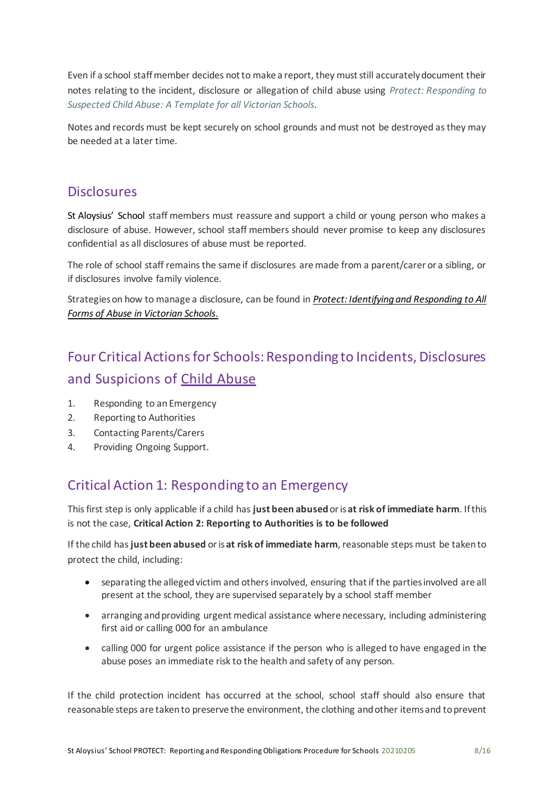Even if a school staff member decides not to make a report, they must still accurately document their notes relating to the incident, disclosure or allegation of child abuse using *[Protect: Responding](http://www.education.vic.gov.au/Documents/about/programs/health/protect/PROTECT_Responding_TemplateSchools.pdf) [to](http://www.education.vic.gov.au/Documents/about/programs/health/protect/PROTECT_Responding_TemplateSchools.pdf)  [Suspected Child Abuse: A Template for all Victorian Schools.](http://www.education.vic.gov.au/Documents/about/programs/health/protect/PROTECT_Responding_TemplateSchools.pdf)*

Notes and records must be kept securely on school grounds and must not be destroyed as they may be needed at a later time.

### **Disclosures**

St Aloysius' School staff members must reassure and support a child or young person who makes a disclosure of abuse. However, school staff members should never promise to keep any disclosures confidential as all disclosures of abuse must be reported.

The role of school staff remains the same if disclosures are made from a parent/carer or a sibling, or if disclosures involve family violence.

Strategies on how to manage a disclosure, can be found in *[Protect: Identifying and Responding to All](http://www.education.vic.gov.au/Documents/about/programs/health/protect/ChildSafeStandard5_SchoolsGuide.pdf) [Forms of Abuse in Victorian Schools](http://www.education.vic.gov.au/Documents/about/programs/health/protect/ChildSafeStandard5_SchoolsGuide.pdf)*.

# Four Critical Actions for Schools: Responding to Incidents, Disclosures and Suspicions o[f Child Abuse](http://www.education.vic.gov.au/Documents/about/programs/health/protect/FourCriticalActions_ChildAbuse.pdf)

- 1. Responding to an Emergency
- 2. Reporting to Authorities
- 3. Contacting Parents/Carers
- 4. Providing Ongoing Support.

## Critical Action 1: Responding to an Emergency

This first step is only applicable if a child has **just been abused** or is **at risk of immediate harm**. If this is not the case, **Critical Action 2: Reporting to Authorities is to be followed**

If the child has **just been abused** or is **at risk of immediate harm**, reasonable steps must be taken to protect the child, including:

- separating the alleged victim and others involved, ensuring that if the parties involved are all present at the school, they are supervised separately by a school staff member
- arranging and providing urgent medical assistance where necessary, including administering first aid or calling 000 for an ambulance
- calling 000 for urgent police assistance if the person who is alleged to have engaged in the abuse poses an immediate risk to the health and safety of any person.

If the child protection incident has occurred at the school, school staff should also ensure that reasonable steps are taken to preserve the environment, the clothing and other items and to prevent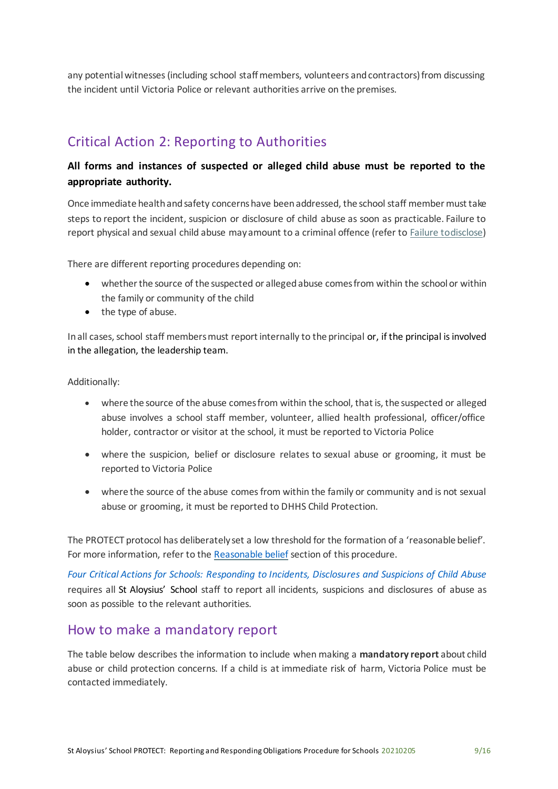any potential witnesses (including school staff members, volunteers and contractors) from discussing the incident until Victoria Police or relevant authorities arrive on the premises.

## Critical Action 2: Reporting to Authorities

### **All forms and instances of suspected or alleged child abuse must be reported to the appropriate authority.**

Once immediate health and safety concerns have been addressed, the school staff member must take steps to report the incident, suspicion or disclosure of child abuse as soon as practicable. Failure to report physical and sexual child abuse may amount to a criminal offence (refer t[o Failure todisclose\)](https://www.cem.edu.au/About-Us/Policies/Child-Protection-Reporting-Obligations.aspx#_Failure_to_disclose)

There are different reporting procedures depending on:

- whether the source of the suspected or alleged abuse comes from within the school or within the family or community of the child
- the type of abuse.

In all cases, school staff members must report internally to the principal or, if the principal is involved in the allegation, the leadership team.

#### Additionally:

- where the source of the abuse comesfrom within the school, that is, the suspected or alleged abuse involves a school staff member, volunteer, allied health professional, officer/office holder, contractor or visitor at the school, it must be reported to Victoria Police
- where the suspicion, belief or disclosure relates to sexual abuse or grooming, it must be reported to Victoria Police
- where the source of the abuse comes from within the family or community and is not sexual abuse or grooming, it must be reported to DHHS Child Protection.

The PROTECT protocol has deliberately set a low threshold for the formation of a 'reasonable belief'. For more information, refer to the [Reasonable belief](https://www.cem.edu.au/About-Us/Policies/Child-Protection-Reporting-Obligations.aspx#_Reasonable_belief) section of this procedure.

*[Four Critical Actions for Schools: Responding to Incidents, Disclosures and Suspicions of Child](http://www.education.vic.gov.au/Documents/about/programs/health/protect/FourCriticalActions_ChildAbuse.pdf) [Abuse](http://www.education.vic.gov.au/Documents/about/programs/health/protect/FourCriticalActions_ChildAbuse.pdf)*  requires all St Aloysius' School staff to report all incidents, suspicions and disclosures of abuse as soon as possible to the relevant authorities.

### How to make a mandatory report

The table below describes the information to include when making a **mandatory report** about child abuse or child protection concerns. If a child is at immediate risk of harm, Victoria Police must be contacted immediately.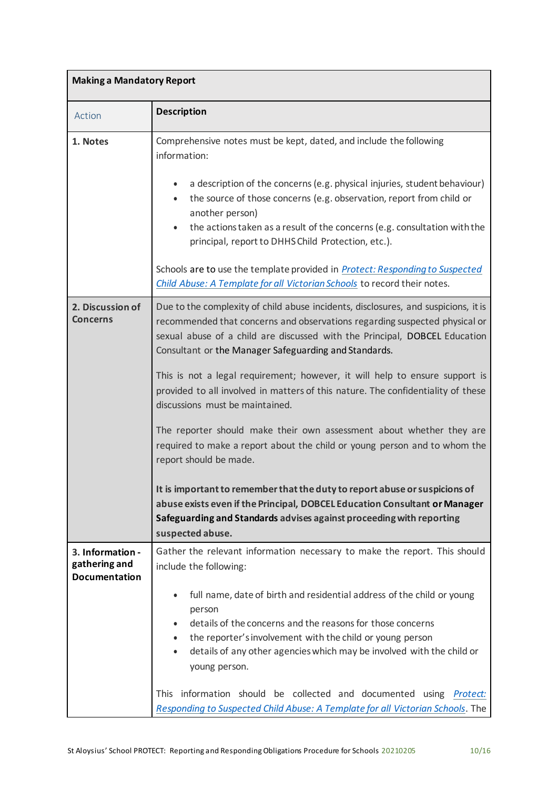| <b>Making a Mandatory Report</b>                          |                                                                                                                                                                                                                                                                                                                                                                                                                                                                                                                                                                                                                                                                                                                                                                                                                                                                                                                                                      |  |  |  |
|-----------------------------------------------------------|------------------------------------------------------------------------------------------------------------------------------------------------------------------------------------------------------------------------------------------------------------------------------------------------------------------------------------------------------------------------------------------------------------------------------------------------------------------------------------------------------------------------------------------------------------------------------------------------------------------------------------------------------------------------------------------------------------------------------------------------------------------------------------------------------------------------------------------------------------------------------------------------------------------------------------------------------|--|--|--|
| Action                                                    | <b>Description</b>                                                                                                                                                                                                                                                                                                                                                                                                                                                                                                                                                                                                                                                                                                                                                                                                                                                                                                                                   |  |  |  |
| 1. Notes                                                  | Comprehensive notes must be kept, dated, and include the following<br>information:<br>a description of the concerns (e.g. physical injuries, student behaviour)<br>the source of those concerns (e.g. observation, report from child or<br>$\bullet$<br>another person)<br>the actions taken as a result of the concerns (e.g. consultation with the<br>$\bullet$<br>principal, report to DHHS Child Protection, etc.).<br>Schools are to use the template provided in Protect: Responding to Suspected<br>Child Abuse: A Template for all Victorian Schools to record their notes.                                                                                                                                                                                                                                                                                                                                                                  |  |  |  |
| 2. Discussion of<br><b>Concerns</b>                       | Due to the complexity of child abuse incidents, disclosures, and suspicions, it is<br>recommended that concerns and observations regarding suspected physical or<br>sexual abuse of a child are discussed with the Principal, DOBCEL Education<br>Consultant or the Manager Safeguarding and Standards.<br>This is not a legal requirement; however, it will help to ensure support is<br>provided to all involved in matters of this nature. The confidentiality of these<br>discussions must be maintained.<br>The reporter should make their own assessment about whether they are<br>required to make a report about the child or young person and to whom the<br>report should be made.<br>It is important to remember that the duty to report abuse or suspicions of<br>abuse exists even if the Principal, DOBCEL Education Consultant or Manager<br>Safeguarding and Standards advises against proceeding with reporting<br>suspected abuse. |  |  |  |
| 3. Information -<br>gathering and<br><b>Documentation</b> | Gather the relevant information necessary to make the report. This should<br>include the following:<br>full name, date of birth and residential address of the child or young<br>$\bullet$<br>person<br>details of the concerns and the reasons for those concerns<br>$\bullet$<br>the reporter's involvement with the child or young person<br>٠<br>details of any other agencies which may be involved with the child or<br>$\bullet$<br>young person.<br>This information should be collected and documented using Protect:<br>Responding to Suspected Child Abuse: A Template for all Victorian Schools. The                                                                                                                                                                                                                                                                                                                                     |  |  |  |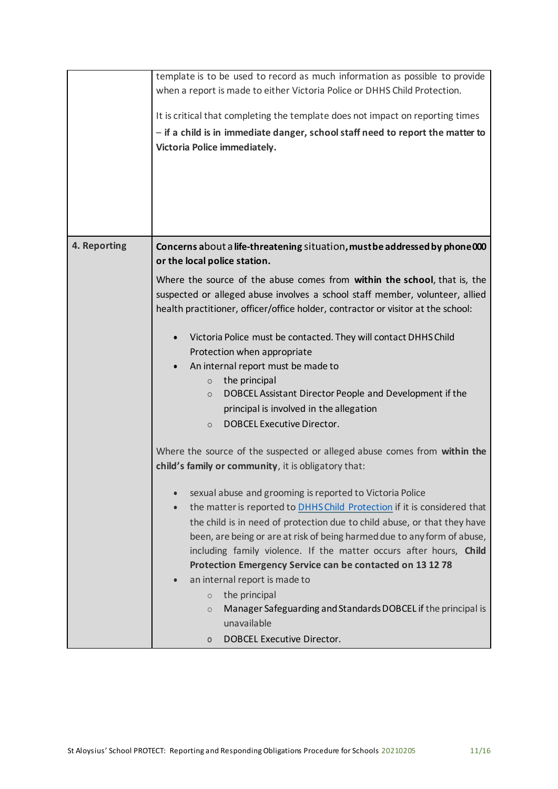|                                                          | template is to be used to record as much information as possible to provide           |  |  |  |  |
|----------------------------------------------------------|---------------------------------------------------------------------------------------|--|--|--|--|
|                                                          | when a report is made to either Victoria Police or DHHS Child Protection.             |  |  |  |  |
|                                                          |                                                                                       |  |  |  |  |
|                                                          | It is critical that completing the template does not impact on reporting times        |  |  |  |  |
|                                                          | - if a child is in immediate danger, school staff need to report the matter to        |  |  |  |  |
|                                                          |                                                                                       |  |  |  |  |
|                                                          | Victoria Police immediately.                                                          |  |  |  |  |
|                                                          |                                                                                       |  |  |  |  |
|                                                          |                                                                                       |  |  |  |  |
|                                                          |                                                                                       |  |  |  |  |
|                                                          |                                                                                       |  |  |  |  |
|                                                          |                                                                                       |  |  |  |  |
|                                                          |                                                                                       |  |  |  |  |
| 4. Reporting                                             | Concerns about a life-threatening situation, must be addressed by phone 000           |  |  |  |  |
|                                                          | or the local police station.                                                          |  |  |  |  |
|                                                          | Where the source of the abuse comes from within the school, that is, the              |  |  |  |  |
|                                                          |                                                                                       |  |  |  |  |
|                                                          | suspected or alleged abuse involves a school staff member, volunteer, allied          |  |  |  |  |
|                                                          | health practitioner, officer/office holder, contractor or visitor at the school:      |  |  |  |  |
|                                                          |                                                                                       |  |  |  |  |
|                                                          | Victoria Police must be contacted. They will contact DHHS Child                       |  |  |  |  |
|                                                          | Protection when appropriate                                                           |  |  |  |  |
|                                                          | An internal report must be made to                                                    |  |  |  |  |
|                                                          | the principal<br>$\circ$                                                              |  |  |  |  |
|                                                          | DOBCEL Assistant Director People and Development if the<br>$\circ$                    |  |  |  |  |
|                                                          | principal is involved in the allegation                                               |  |  |  |  |
|                                                          | DOBCEL Executive Director.<br>$\circ$                                                 |  |  |  |  |
|                                                          |                                                                                       |  |  |  |  |
|                                                          | Where the source of the suspected or alleged abuse comes from within the              |  |  |  |  |
|                                                          | child's family or community, it is obligatory that:                                   |  |  |  |  |
|                                                          |                                                                                       |  |  |  |  |
| sexual abuse and grooming is reported to Victoria Police |                                                                                       |  |  |  |  |
|                                                          | the matter is reported to DHHS Child Protection if it is considered that<br>$\bullet$ |  |  |  |  |
|                                                          | the child is in need of protection due to child abuse, or that they have              |  |  |  |  |
|                                                          | been, are being or are at risk of being harmed due to any form of abuse,              |  |  |  |  |
|                                                          | including family violence. If the matter occurs after hours, Child                    |  |  |  |  |
|                                                          | Protection Emergency Service can be contacted on 13 12 78                             |  |  |  |  |
|                                                          |                                                                                       |  |  |  |  |
|                                                          | an internal report is made to<br>$\bullet$                                            |  |  |  |  |
|                                                          | the principal<br>$\circ$                                                              |  |  |  |  |
|                                                          | Manager Safeguarding and Standards DOBCEL if the principal is<br>$\circ$              |  |  |  |  |
|                                                          | unavailable                                                                           |  |  |  |  |
|                                                          | <b>DOBCEL Executive Director.</b><br>0                                                |  |  |  |  |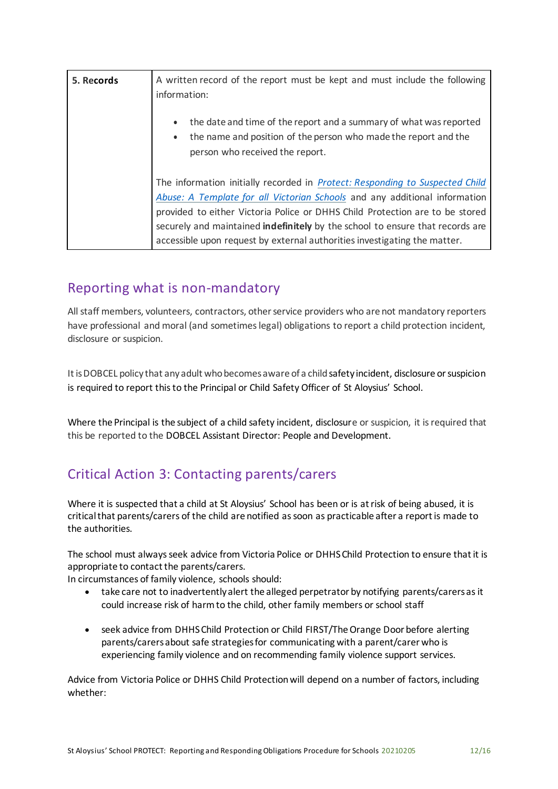| 5. Records | A written record of the report must be kept and must include the following<br>information:                                                                                                                                                                                                                                                                                                                      |
|------------|-----------------------------------------------------------------------------------------------------------------------------------------------------------------------------------------------------------------------------------------------------------------------------------------------------------------------------------------------------------------------------------------------------------------|
|            | the date and time of the report and a summary of what was reported<br>the name and position of the person who made the report and the<br>person who received the report.                                                                                                                                                                                                                                        |
|            | The information initially recorded in <i>Protect: Responding to Suspected Child</i><br>Abuse: A Template for all Victorian Schools and any additional information<br>provided to either Victoria Police or DHHS Child Protection are to be stored<br>securely and maintained indefinitely by the school to ensure that records are<br>accessible upon request by external authorities investigating the matter. |

### Reporting what is non-mandatory

All staff members, volunteers, contractors, other service providers who are not mandatory reporters have professional and moral (and sometimes legal) obligations to report a child protection incident, disclosure or suspicion.

It is DOBCEL policy that any adult who becomes aware of a child safety incident, disclosure or suspicion is required to report this to the Principal or Child Safety Officer of St Aloysius' School.

Where the Principal is the subject of a child safety incident, disclosure or suspicion, it is required that this be reported to the DOBCEL Assistant Director: People and Development.

## Critical Action 3: Contacting parents/carers

Where it is suspected that a child at St Aloysius' School has been or is at risk of being abused, it is critical that parents/carers of the child are notified as soon as practicable after a report is made to the authorities.

The school must always seek advice from Victoria Police or DHHS Child Protection to ensure that it is appropriate to contact the parents/carers.

In circumstances of family violence, schools should:

- take care not to inadvertently alert the alleged perpetrator by notifying parents/carers as it could increase risk of harm to the child, other family members or school staff
- seek advice from DHHS Child Protection or Child FIRST/The Orange Door before alerting parents/carers about safe strategies for communicating with a parent/carer who is experiencing family violence and on recommending family violence support services.

Advice from Victoria Police or DHHS Child Protectionwill depend on a number of factors, including whether: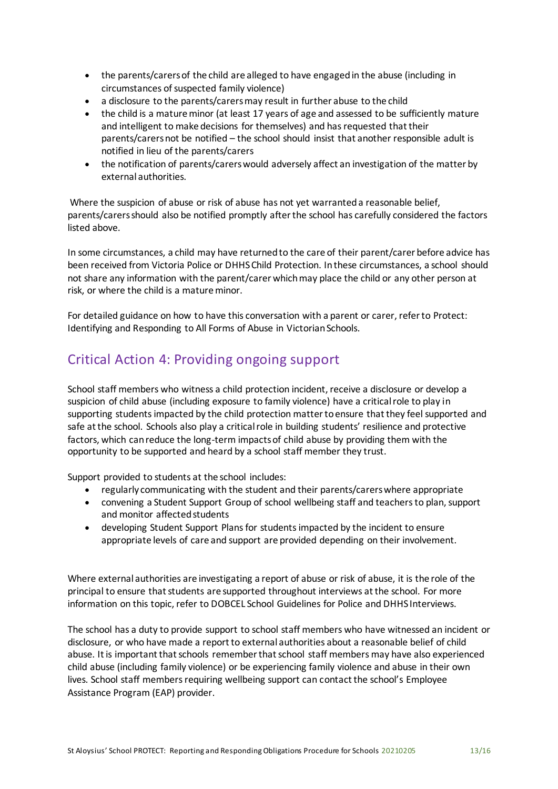- the parents/carers of the child are alleged to have engaged in the abuse (including in circumstances of suspected family violence)
- a disclosure to the parents/carers may result in further abuse to the child
- the child is a mature minor (at least 17 years of age and assessed to be sufficiently mature and intelligent to make decisions for themselves) and has requested that their parents/carers not be notified – the school should insist that another responsible adult is notified in lieu of the parents/carers
- the notification of parents/carers would adversely affect an investigation of the matter by external authorities.

Where the suspicion of abuse or risk of abuse has not yet warranted a reasonable belief, parents/carers should also be notified promptly after the school has carefully considered the factors listed above.

In some circumstances, a child may have returned to the care of their parent/carer before advice has been received from Victoria Police or DHHS Child Protection. In these circumstances, a school should not share any information with the parent/carer which may place the child or any other person at risk, or where the child is a mature minor.

For detailed guidance on how to have this conversation with a parent or carer, refer to [Protect:](http://www.education.vic.gov.au/Documents/about/programs/health/protect/ChildSafeStandard5_SchoolsGuide.pdf)  Identifying and [Responding to All Forms of Abuse in Victorian Schools.](http://www.education.vic.gov.au/Documents/about/programs/health/protect/ChildSafeStandard5_SchoolsGuide.pdf)

## Critical Action 4: Providing ongoing support

School staff members who witness a child protection incident, receive a disclosure or develop a suspicion of child abuse (including exposure to family violence) have a critical role to play in supporting students impacted by the child protection matter to ensure that they feel supported and safe at the school. Schools also play a critical role in building students' resilience and protective factors, which can reduce the long-term impacts of child abuse by providing them with the opportunity to be supported and heard by a school staff member they trust.

Support provided to students at the school includes:

- regularly communicating with the student and their parents/carers where appropriate
- convening a Student Support Group of school wellbeing staff and teachers to plan, support and monitor affected students
- developing Student Support Plans for students impacted by the incident to ensure appropriate levels of care and support are provided depending on their involvement.

Where external authorities are investigating a report of abuse or risk of abuse, it is the role of the principal to ensure that students are supported throughout interviews at the school. For more information on this topic, refer to DOBCEL School Guidelines for Police and DHHS Interviews.

The school has a duty to provide support to school staff members who have witnessed an incident or disclosure, or who have made a report to external authorities about a reasonable belief of child abuse. It is important that schools remember that school staff members may have also experienced child abuse (including family violence) or be experiencing family violence and abuse in their own lives. School staff members requiring wellbeing support can contact the school's Employee Assistance Program (EAP) provider.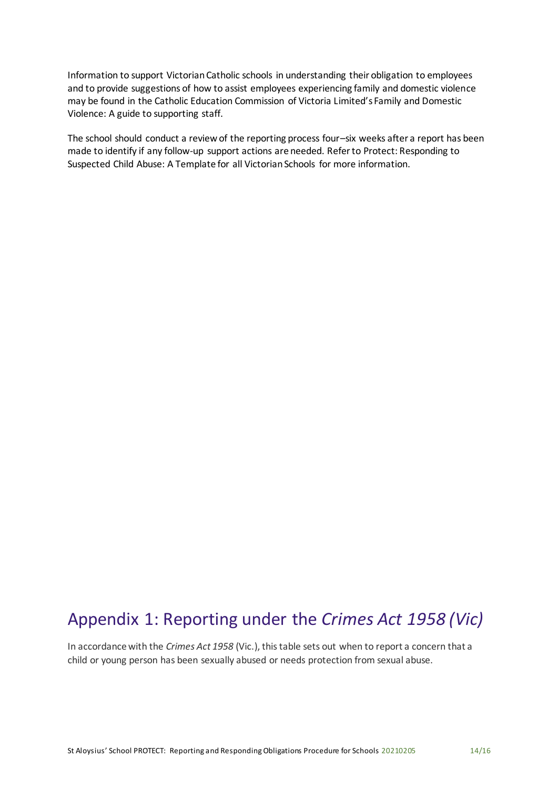Information to support Victorian Catholic schools in understanding their obligation to employees and to provide suggestions of how to assist employees experiencing family and domestic violence may be found in the Catholic Education Commission of Victoria Limited's [Family and Domestic](http://www.cecv.catholic.edu.au/Media-Files/IR/Policies-Guidelines/Family-Domestic-Violence/Guide-to-family-and-domestic-violence-(1).aspx)  [Violence: A guide to supporting staff.](http://www.cecv.catholic.edu.au/Media-Files/IR/Policies-Guidelines/Family-Domestic-Violence/Guide-to-family-and-domestic-violence-(1).aspx)

The school should conduct a review of the reporting process four–six weeks after a report has been made to identify if any follow-up support actions are needed. Refer to [Protect: Responding to](http://www.education.vic.gov.au/Documents/about/programs/health/protect/PROTECT_Responding_TemplateSchools.pdf)  [Suspected Child Abuse: A Template for all Victorian Schools](http://www.education.vic.gov.au/Documents/about/programs/health/protect/PROTECT_Responding_TemplateSchools.pdf) for more information.

# Appendix 1: Reporting under the *Crimes Act 1958 (Vic)*

In accordance with the *Crimes Act 1958* (Vic.), this table sets out when to report a concern that a child or young person has been sexually abused or needs protection from sexual abuse.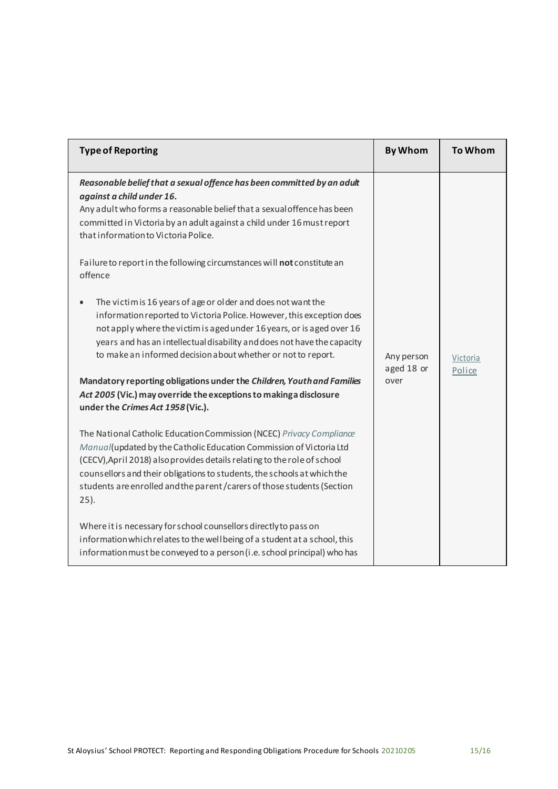| <b>Type of Reporting</b>                                                                                                                                                                                                                                                                                                                                                                                                                                                                                  | <b>By Whom</b>                   | <b>To Whom</b>     |
|-----------------------------------------------------------------------------------------------------------------------------------------------------------------------------------------------------------------------------------------------------------------------------------------------------------------------------------------------------------------------------------------------------------------------------------------------------------------------------------------------------------|----------------------------------|--------------------|
| Reasonable belief that a sexual offence has been committed by an adult<br>against a child under 16.<br>Any adult who forms a reasonable belief that a sexual offence has been<br>committed in Victoria by an adult against a child under 16 must report<br>that information to Victoria Police.                                                                                                                                                                                                           |                                  |                    |
| Failure to report in the following circumstances will not constitute an<br>offence                                                                                                                                                                                                                                                                                                                                                                                                                        |                                  |                    |
| The victim is 16 years of age or older and does not want the<br>information reported to Victoria Police. However, this exception does<br>not apply where the victim is aged under 16 years, or is aged over 16<br>years and has an intellectual disability and does not have the capacity<br>to make an informed decision about whether or not to report.<br>Mandatory reporting obligations under the Children, Youth and Families<br>Act 2005 (Vic.) may override the exceptions to making a disclosure | Any person<br>aged 18 or<br>over | Victoria<br>Police |
| under the Crimes Act 1958 (Vic.).                                                                                                                                                                                                                                                                                                                                                                                                                                                                         |                                  |                    |
| The National Catholic Education Commission (NCEC) Privacy Compliance<br>Manual(updated by the Catholic Education Commission of Victoria Ltd<br>(CECV), April 2018) also provides details relating to the role of school<br>counsellors and their obligations to students, the schools at which the<br>students are enrolled and the parent / carers of those students (Section<br>$25$ ).                                                                                                                 |                                  |                    |
| Where it is necessary for school counsellors directly to pass on<br>information which relates to the well being of a student at a school, this<br>information must be conveyed to a person (i.e. school principal) who has                                                                                                                                                                                                                                                                                |                                  |                    |